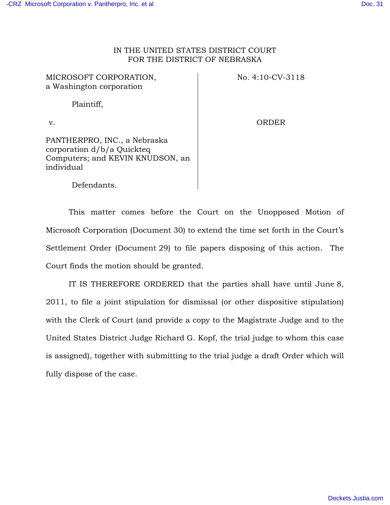## IN THE UNITED STATES DISTRICT COURT FOR THE DISTRICT OF NEBRASKA

| MICROSOFT CORPORATION,<br>a Washington corporation                                                           | No. 4:10-CV-3118 |
|--------------------------------------------------------------------------------------------------------------|------------------|
| Plaintiff,                                                                                                   |                  |
| V.                                                                                                           | ORDER            |
| PANTHERPRO, INC., a Nebraska<br>corporation d/b/a Quickteq<br>Computers; and KEVIN KNUDSON, an<br>individual |                  |

Defendants.

This matter comes before the Court on the Unopposed Motion of Microsoft Corporation (Document 30) to extend the time set forth in the Court's Settlement Order (Document 29) to file papers disposing of this action. The Court finds the motion should be granted.

IT IS THEREFORE ORDERED that the parties shall have until June 8, 2011, to file a joint stipulation for dismissal (or other dispositive stipulation) with the Clerk of Court (and provide a copy to the Magistrate Judge and to the United States District Judge Richard G. Kopf, the trial judge to whom this case is assigned), together with submitting to the trial judge a draft Order which will fully dispose of the case.